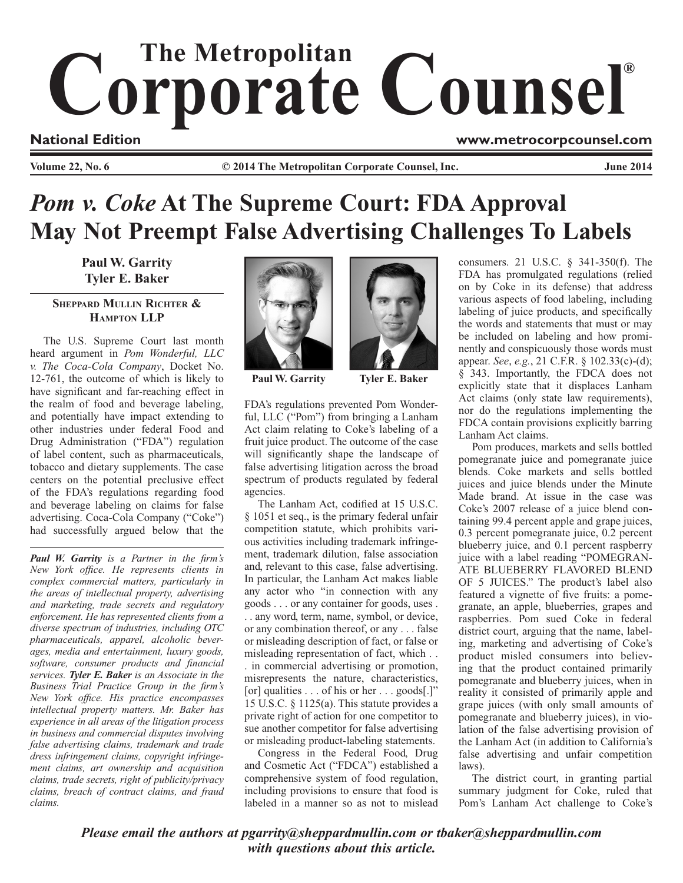## Corporate Counsel®

**National Edition www.metrocorpcounsel.com**

**Volume 22, No. 6 COULLA COMPTER COLUMNATE:** Collection Corporate Counsel, Inc. Summer 2014

## *Pom v. Coke* **At The Supreme Court: FDA Approval May Not Preempt False Advertising Challenges To Labels**

**Paul W. Garrity Tyler E. Baker**

## **Sheppard Mullin Richter & Hampton LLP**

The U.S. Supreme Court last month heard argument in *Pom Wonderful, LLC v. The Coca-Cola Company*, Docket No. 12-761, the outcome of which is likely to have significant and far-reaching effect in the realm of food and beverage labeling, and potentially have impact extending to other industries under federal Food and Drug Administration ("FDA") regulation of label content, such as pharmaceuticals, tobacco and dietary supplements. The case centers on the potential preclusive effect of the FDA's regulations regarding food and beverage labeling on claims for false advertising. Coca-Cola Company ("Coke") had successfully argued below that the

*Paul W. Garrity is a Partner in the firm's New York office. He represents clients in complex commercial matters, particularly in the areas of intellectual property, advertising and marketing, trade secrets and regulatory enforcement. He has represented clients from a diverse spectrum of industries, including OTC pharmaceuticals, apparel, alcoholic beverages, media and entertainment, luxury goods, software, consumer products and financial services. Tyler E. Baker is an Associate in the Business Trial Practice Group in the firm's New York office. His practice encompasses intellectual property matters. Mr. Baker has experience in all areas of the litigation process in business and commercial disputes involving false advertising claims, trademark and trade dress infringement claims, copyright infringement claims, art ownership and acquisition claims, trade secrets, right of publicity/privacy claims, breach of contract claims, and fraud claims.*



**Paul W. Garrity Tyler E. Baker**

FDA's regulations prevented Pom Wonderful, LLC ("Pom") from bringing a Lanham Act claim relating to Coke's labeling of a fruit juice product. The outcome of the case will significantly shape the landscape of false advertising litigation across the broad spectrum of products regulated by federal agencies.

The Lanham Act, codified at 15 U.S.C. § 1051 et seq., is the primary federal unfair competition statute, which prohibits various activities including trademark infringement, trademark dilution, false association and, relevant to this case, false advertising. In particular, the Lanham Act makes liable any actor who "in connection with any goods . . . or any container for goods, uses . . . any word, term, name, symbol, or device, or any combination thereof, or any . . . false or misleading description of fact, or false or misleading representation of fact, which . . . in commercial advertising or promotion, misrepresents the nature, characteristics, [or] qualities . . . of his or her . . . goods[.]" 15 U.S.C. § 1125(a). This statute provides a private right of action for one competitor to sue another competitor for false advertising or misleading product-labeling statements.

Congress in the Federal Food, Drug and Cosmetic Act ("FDCA") established a comprehensive system of food regulation, including provisions to ensure that food is labeled in a manner so as not to mislead



consumers. 21 U.S.C. § 341-350(f). The FDA has promulgated regulations (relied on by Coke in its defense) that address various aspects of food labeling, including labeling of juice products, and specifically the words and statements that must or may be included on labeling and how prominently and conspicuously those words must appear. *See*, *e.g.*, 21 C.F.R. § 102.33(c)-(d); § 343. Importantly, the FDCA does not explicitly state that it displaces Lanham Act claims (only state law requirements), nor do the regulations implementing the FDCA contain provisions explicitly barring Lanham Act claims.

Pom produces, markets and sells bottled pomegranate juice and pomegranate juice blends. Coke markets and sells bottled juices and juice blends under the Minute Made brand. At issue in the case was Coke's 2007 release of a juice blend containing 99.4 percent apple and grape juices, 0.3 percent pomegranate juice, 0.2 percent blueberry juice, and 0.1 percent raspberry juice with a label reading "POMEGRAN-ATE BLUEBERRY FLAVORED BLEND OF 5 JUICES." The product's label also featured a vignette of five fruits: a pomegranate, an apple, blueberries, grapes and raspberries. Pom sued Coke in federal district court, arguing that the name, labeling, marketing and advertising of Coke's product misled consumers into believing that the product contained primarily pomegranate and blueberry juices, when in reality it consisted of primarily apple and grape juices (with only small amounts of pomegranate and blueberry juices), in violation of the false advertising provision of the Lanham Act (in addition to California's false advertising and unfair competition laws).

The district court, in granting partial summary judgment for Coke, ruled that Pom's Lanham Act challenge to Coke's

*Please email the authors at pgarrity@sheppardmullin.com or tbaker@sheppardmullin.com with questions about this article.*